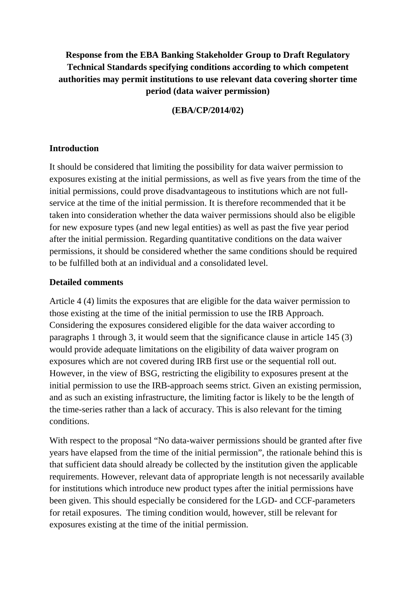# **Response from the EBA Banking Stakeholder Group to Draft Regulatory Technical Standards specifying conditions according to which competent authorities may permit institutions to use relevant data covering shorter time period (data waiver permission)**

### **(EBA/CP/2014/02)**

#### **Introduction**

It should be considered that limiting the possibility for data waiver permission to exposures existing at the initial permissions, as well as five years from the time of the initial permissions, could prove disadvantageous to institutions which are not fullservice at the time of the initial permission. It is therefore recommended that it be taken into consideration whether the data waiver permissions should also be eligible for new exposure types (and new legal entities) as well as past the five year period after the initial permission. Regarding quantitative conditions on the data waiver permissions, it should be considered whether the same conditions should be required to be fulfilled both at an individual and a consolidated level.

#### **Detailed comments**

Article 4 (4) limits the exposures that are eligible for the data waiver permission to those existing at the time of the initial permission to use the IRB Approach. Considering the exposures considered eligible for the data waiver according to paragraphs 1 through 3, it would seem that the significance clause in article 145 (3) would provide adequate limitations on the eligibility of data waiver program on exposures which are not covered during IRB first use or the sequential roll out. However, in the view of BSG, restricting the eligibility to exposures present at the initial permission to use the IRB-approach seems strict. Given an existing permission, and as such an existing infrastructure, the limiting factor is likely to be the length of the time-series rather than a lack of accuracy. This is also relevant for the timing conditions.

With respect to the proposal "No data-waiver permissions should be granted after five years have elapsed from the time of the initial permission", the rationale behind this is that sufficient data should already be collected by the institution given the applicable requirements. However, relevant data of appropriate length is not necessarily available for institutions which introduce new product types after the initial permissions have been given. This should especially be considered for the LGD- and CCF-parameters for retail exposures. The timing condition would, however, still be relevant for exposures existing at the time of the initial permission.